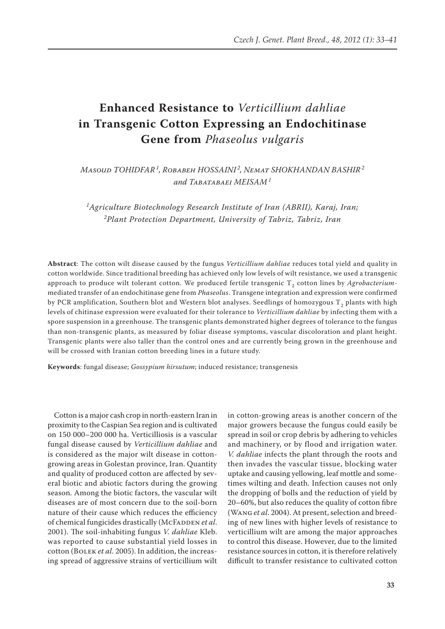# **Enhanced Resistance to** *Verticillium dahliae* **in Transgenic Cotton Expressing an Endochitinase Gene from** *Phaseolus vulgaris*

*Masoud TOHIDFAR<sup>1</sup> , Robabeh HOSSAINI <sup>2</sup> , Nemat SHOKHANDAN BASHIR<sup>2</sup> and Tabatabaei MEISAM<sup>1</sup>*

*1 Agriculture Biotechnology Research Institute of Iran (ABRII), Karaj, Iran; 2 Plant Protection Department, University of Tabriz, Tabriz, Iran*

**Abstract**: The cotton wilt disease caused by the fungus *Verticillium dahliae* reduces total yield and quality in cotton worldwide. Since traditional breeding has achieved only low levels of wilt resistance, we used a transgenic approach to produce wilt tolerant cotton. We produced fertile transgenic T<sub>2</sub> cotton lines by *Agrobacterium*mediated transfer of an endochitinase gene from *Phaseolus*. Transgene integration and expression were confirmed by PCR amplification, Southern blot and Western blot analyses. Seedlings of homozygous  $T<sub>2</sub>$  plants with high levels of chitinase expression were evaluated for their tolerance to *Verticillium dahliae* by infecting them with a spore suspension in a greenhouse. The transgenic plants demonstrated higher degrees of tolerance to the fungus than non-transgenic plants, as measured by foliar disease symptoms, vascular discoloration and plant height. Transgenic plants were also taller than the control ones and are currently being grown in the greenhouse and will be crossed with Iranian cotton breeding lines in a future study.

**Keywords**: fungal disease; *Gossypium hirsutum*; induced resistance; transgenesis

Cotton is a major cash crop in north-eastern Iran in proximity to the Caspian Sea region and is cultivated on 150 000–200 000 ha. Verticilliosis is a vascular fungal disease caused by *Verticillium dahliae* and is considered as the major wilt disease in cottongrowing areas in Golestan province, Iran. Quantity and quality of produced cotton are affected by several biotic and abiotic factors during the growing season. Among the biotic factors, the vascular wilt diseases are of most concern due to the soil-born nature of their cause which reduces the efficiency of chemical fungicides drastically (McFADDEN et al. 2001). The soil-inhabiting fungus *V. dahliae* Kleb. was reported to cause substantial yield losses in cotton (Bolek *et al*. 2005). In addition, the increasing spread of aggressive strains of verticillium wilt in cotton-growing areas is another concern of the major growers because the fungus could easily be spread in soil or crop debris by adhering to vehicles and machinery, or by flood and irrigation water. *V. dahliae* infects the plant through the roots and then invades the vascular tissue, blocking water uptake and causing yellowing, leaf mottle and sometimes wilting and death. Infection causes not only the dropping of bolls and the reduction of yield by 20–60%, but also reduces the quality of cotton fibre (Wang *et al*. 2004). At present, selection and breeding of new lines with higher levels of resistance to verticillium wilt are among the major approaches to control this disease. However, due to the limited resistance sources in cotton, it is therefore relatively difficult to transfer resistance to cultivated cotton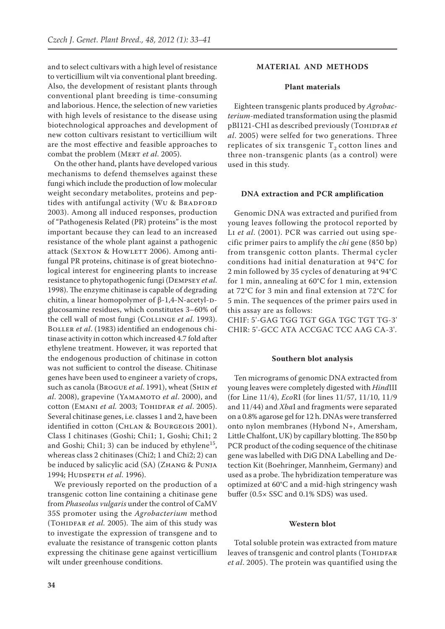and to select cultivars with a high level of resistance to verticillium wilt via conventional plant breeding. Also, the development of resistant plants through conventional plant breeding is time-consuming and laborious. Hence, the selection of new varieties with high levels of resistance to the disease using biotechnological approaches and development of new cotton cultivars resistant to verticillium wilt are the most effective and feasible approaches to combat the problem (Mert *et al*. 2005).

On the other hand, plants have developed various mechanisms to defend themselves against these fungi which include the production of low molecular weight secondary metabolites, proteins and peptides with antifungal activity (Wu & BRADFORD 2003). Among all induced responses, production of "Pathogenesis Related (PR) proteins" is the most important because they can lead to an increased resistance of the whole plant against a pathogenic attack (SEXTON & HOWLETT 2006). Among antifungal PR proteins, chitinase is of great biotechnological interest for engineering plants to increase resistance to phytopathogenic fungi (Dempsey *et al*. 1998). The enzyme chitinase is capable of degrading chitin, a linear homopolymer of β-1,4-N-acetyl-Dglucosamine residues, which constitutes 3–60% of the cell wall of most fungi (Collinge *et al*. 1993). Boller *et al*. (1983) identified an endogenous chitinase activity in cotton which increased 4.7 fold after ethylene treatment. However, it was reported that the endogenous production of chitinase in cotton was not sufficient to control the disease. Chitinase genes have been used to engineer a variety of crops, such as canola (Brogue *et al*. 1991), wheat (Shin *et al*. 2008), grapevine (Yamamoto *et al*. 2000), and cotton (Emani *et al.* 2003; Tohidfar *et al*. 2005). Several chitinase genes, i.e. classes 1 and 2, have been identified in cotton (CHLAN & BOURGEOIS 2001). Class I chitinases (Goshi; Chi1; 1, Goshi; Chi1; 2 and Goshi; Chi1; 3) can be induced by ethylene<sup>15</sup>, whereas class 2 chitinases (Chi2; 1 and Chi2; 2) can be induced by salicylic acid (SA) (Zнамс & PUNJA 1994; Hudspeth *et al*. 1996).

We previously reported on the production of a transgenic cotton line containing a chitinase gene from *Phaseolus vulgaris* under the control of CaMV 35S promoter using the *Agrobacterium* method (Тонірғар *et al.* 2005). The aim of this study was to investigate the expression of transgene and to evaluate the resistance of transgenic cotton plants expressing the chitinase gene against verticillium wilt under greenhouse conditions.

### **MATERIAL AND METHODS**

## **Plant materials**

Eighteen transgenic plants produced by *Agrobacterium-*mediated transformation using the plasmid pBI121-CHI as described previously (TOHIDFAR et *al*. 2005) were selfed for two generations. Three replicates of six transgenic  $T<sub>2</sub>$  cotton lines and three non-transgenic plants (as a control) were used in this study.

#### **DNA extraction and PCR amplification**

Genomic DNA was extracted and purified from young leaves following the protocol reported by Li *et al*. (2001). PCR was carried out using specific primer pairs to amplify the *chi* gene (850 bp) from transgenic cotton plants. Thermal cycler conditions had initial denaturation at 94°C for 2 min followed by 35 cycles of denaturing at 94°C for 1 min, annealing at 60°C for 1 min, extension at 72°C for 3 min and final extension at 72°C for 5 min. The sequences of the primer pairs used in this assay are as follows:

CHIF: 5'-GAG TGG TGT GGA TGC TGT TG-3' CHIR: 5'-GCC ATA ACCGAC TCC AAG CA-3'.

#### **Southern blot analysis**

Ten micrograms of genomic DNA extracted from young leaves were completely digested with *Hind*III (for Line 11/4), *Eco*RI (for lines 11/57, 11/10, 11/9 and 11/44) and *Xba*I and fragments were separated on a 0.8% agarose gel for 12 h. DNAs were transferred onto nylon membranes (Hybond N+, Amersham, Little Chalfont, UK) by capillary blotting. The 850 bp PCR product of the coding sequence of the chitinase gene was labelled with DiG DNA Labelling and Detection Kit (Boehringer, Mannheim, Germany) and used as a probe. The hybridization temperature was optimized at 60°C and a mid-high stringency wash buffer (0.5× SSC and 0.1% SDS) was used.

#### **Western blot**

Total soluble protein was extracted from mature leaves of transgenic and control plants (TOHIDFAR *et al*. 2005). The protein was quantified using the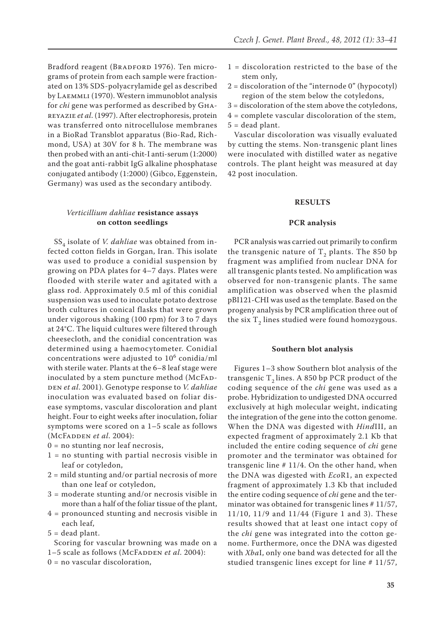Bradford reagent (BRADFORD 1976). Ten micrograms of protein from each sample were fractionated on 13% SDS-polyacrylamide gel as described by Laemmli (1970). Western immunoblot analysis for *chi* gene was performed as described by Ghareyazie *et al*. (1997). After electrophoresis, protein was transferred onto nitrocellulose membranes in a BioRad Transblot apparatus (Bio-Rad, Richmond, USA) at 30V for 8 h. The membrane was then probed with an anti-chit-I anti-serum (1:2000) and the goat anti-rabbit IgG alkaline phosphatase conjugated antibody (1:2000) (Gibco, Eggenstein, Germany) was used as the secondary antibody.

# *Verticillium dahliae* **resistance assays on cotton seedlings**

SS<sub>4</sub> isolate of *V. dahliae* was obtained from infected cotton fields in Gorgan, Iran. This isolate was used to produce a conidial suspension by growing on PDA plates for 4–7 days. Plates were flooded with sterile water and agitated with a glass rod. Approximately 0.5 ml of this conidial suspension was used to inoculate potato dextrose broth cultures in conical flasks that were grown under vigorous shaking (100 rpm) for 3 to 7 days at 24°C. The liquid cultures were filtered through cheesecloth, and the conidial concentration was determined using a haemocytometer. Conidial concentrations were adjusted to  $10^6$  conidia/ml with sterile water. Plants at the 6–8 leaf stage were inoculated by a stem puncture method (McFADden *et al*. 2001). Genotype response to *V. dahliae*  inoculation was evaluated based on foliar disease symptoms, vascular discoloration and plant height. Four to eight weeks after inoculation, foliar symptoms were scored on a 1–5 scale as follows (McFadden *et al*. 2004):

- $0 = no$  stunting nor leaf necrosis,
- $1 = no$  stunting with partial necrosis visible in leaf or cotyledon,
- 2 = mild stunting and/or partial necrosis of more than one leaf or cotyledon,
- 3 = moderate stunting and/or necrosis visible in more than a half of the foliar tissue of the plant,
- 4 = pronounced stunting and necrosis visible in each leaf,
- $5 =$  dead plant.

Scoring for vascular browning was made on a 1–5 scale as follows (McFADDEN *et al.* 2004):

 $0 = no$  vascular discoloration,

- 1 = discoloration restricted to the base of the stem only,
- $2 =$  discoloration of the "internode  $0$ " (hypocotyl) region of the stem below the cotyledons,
- 3 = discoloration of the stem above the cotyledons,
- 4 = complete vascular discoloration of the stem,  $5 =$  dead plant.

Vascular discoloration was visually evaluated by cutting the stems. Non-transgenic plant lines were inoculated with distilled water as negative controls. The plant height was measured at day 42 post inoculation.

#### **RESULTS**

#### **PCR analysis**

PCR analysis was carried out primarily to confirm the transgenic nature of  $T<sub>2</sub>$  plants. The 850 bp fragment was amplified from nuclear DNA for all transgenic plants tested. No amplification was observed for non-transgenic plants. The same amplification was observed when the plasmid pBI121-CHI was used as the template. Based on the progeny analysis by PCR amplification three out of the six  $T<sub>2</sub>$  lines studied were found homozygous.

## **Southern blot analysis**

Figures 1–3 show Southern blot analysis of the transgenic  $T<sub>2</sub>$  lines. A 850 bp PCR product of the coding sequence of the *chi* gene was used as a probe. Hybridization to undigested DNA occurred exclusively at high molecular weight, indicating the integration of the gene into the cotton genome. When the DNA was digested with *Hind*III, an expected fragment of approximately 2.1 Kb that included the entire coding sequence of *chi* gene promoter and the terminator was obtained for transgenic line # 11/4. On the other hand, when the DNA was digested with *Eco*R1, an expected fragment of approximately 1.3 Kb that included the entire coding sequence of *chi* gene and the terminator was obtained for transgenic lines # 11/57, 11/10, 11/9 and 11/44 (Figure 1 and 3). These results showed that at least one intact copy of the *chi* gene was integrated into the cotton genome. Furthermore, once the DNA was digested with *Xba*I, only one band was detected for all the studied transgenic lines except for line # 11/57,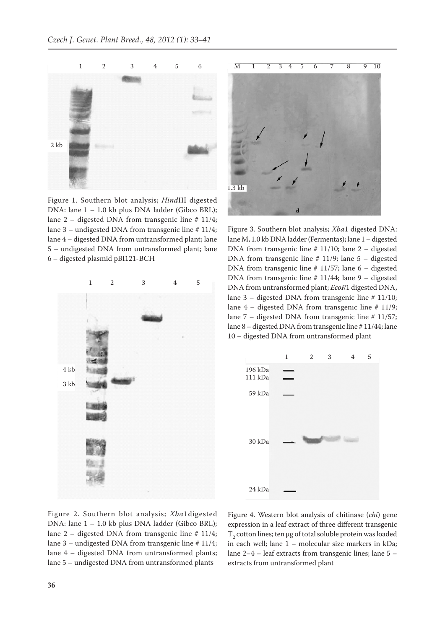

Figure 1. Southern blot analysis; *Hind*III digested DNA: lane 1 – 1.0 kb plus DNA ladder (Gibco BRL); lane 2 – digested DNA from transgenic line  $\#$  11/4; lane 3 – undigested DNA from transgenic line # 11/4; lane 4 – digested DNA from untransformed plant; lane 5 – undigested DNA from untransformed plant; lane 6 – digested plasmid pBI121-BCH





Figure 3. Southern blot analysis; *Xba*1 digested DNA: lane M, 1.0 kb DNA ladder (Fermentas); lane 1 – digested DNA from transgenic line # 11/10; lane 2 – digested DNA from transgenic line # 11/9; lane 5 – digested DNA from transgenic line  $\#$  11/57; lane 6 – digested DNA from transgenic line # 11/44; lane 9 – digested DNA from untransformed plant; *EcoR*1 digested DNA, lane 3 – digested DNA from transgenic line # 11/10; lane 4 – digested DNA from transgenic line # 11/9; lane 7 – digested DNA from transgenic line # 11/57; lane 8 – digested DNA from transgenic line # 11/44; lane 10 – digested DNA from untransformed plant



Figure 2. Southern blot analysis; *Xba*1digested DNA: lane 1 – 1.0 kb plus DNA ladder (Gibco BRL); lane  $2$  – digested DNA from transgenic line # 11/4; lane 3 – undigested DNA from transgenic line # 11/4; lane 4 – digested DNA from untransformed plants; lane 5 – undigested DNA from untransformed plants

Figure 4. Western blot analysis of chitinase (*chi*) gene expression in a leaf extract of three different transgenic  $T<sub>2</sub>$  cotton lines; ten µg of total soluble protein was loaded in each well; lane 1 – molecular size markers in kDa; lane 2–4 – leaf extracts from transgenic lines; lane 5 – extracts from untransformed plant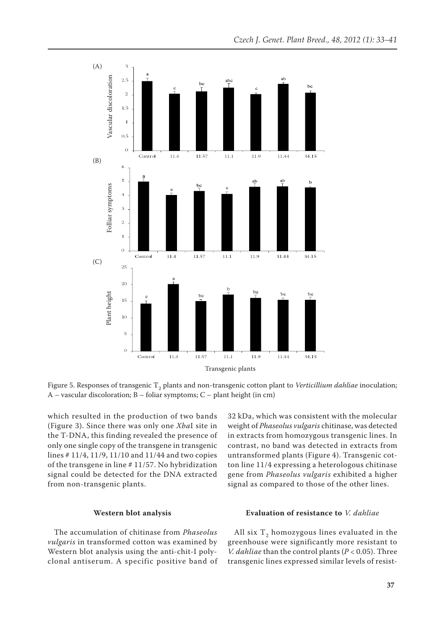

Figure 5. Responses of transgenic T<sub>2</sub> plants and non-transgenic cotton plant to *Verticillium dahliae* inoculation;<br>A – vascular discoloration; B – foliar symptoms; C – plant height (in cm)

which resulted in the production of two bands (Figure 3). Since there was only one *Xba*I site in the T-DNA, this finding revealed the presence of only one single copy of the transgene in transgenic lines # 11/4, 11/9, 11/10 and 11/44 and two copies of the transgene in line # 11/57. No hybridization signal could be detected for the DNA extracted from non-transgenic plants.

### **Western blot analysis**

The accumulation of chitinase from *Phaseolus vulgaris* in transformed cotton was examined by Western blot analysis using the anti-chit-I polyclonal antiserum. A specific positive band of 32 kDa, which was consistent with the molecular weight of *Phaseolus vulgaris* chitinase, was detected in extracts from homozygous transgenic lines. In contrast, no band was detected in extracts from untransformed plants (Figure 4). Transgenic cotton line 11/4 expressing a heterologous chitinase gene from *Phaseolus vulgaris* exhibited a higher signal as compared to those of the other lines.

### **Evaluation of resistance to** *V. dahliae*

All six  $T_2$  homozygous lines evaluated in the greenhouse were significantly more resistant to *V. dahliae* than the control plants (*P* < 0.05). Three transgenic lines expressed similar levels of resist-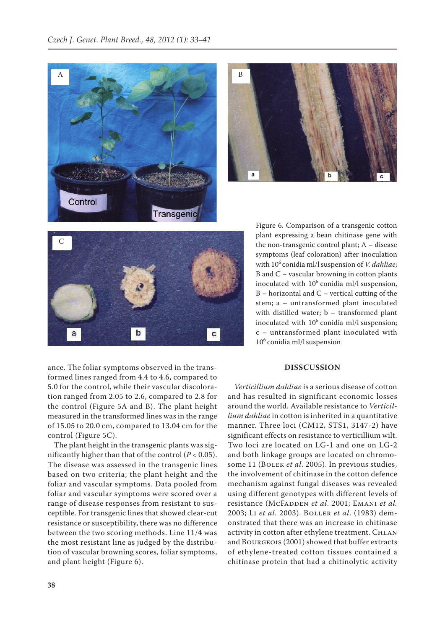





Figure 6. Comparison of a transgenic cotton plant expressing a bean chitinase gene with the non-transgenic control plant; A – disease symptoms (leaf coloration) after inoculation with 10<sup>6</sup> conidia ml/l suspension of *V. dahliae*; B and C – vascular browning in cotton plants inoculated with  $10^6$  conidia ml/l suspension,  $B$  – horizontal and  $C$  – vertical cutting of the stem; a – untransformed plant inoculated with distilled water; b – transformed plant inoculated with  $10^6$  conidia ml/l suspension; c – untransformed plant inoculated with  $10^6$  conidia ml/l suspension

ance. The foliar symptoms observed in the transformed lines ranged from 4.4 to 4.6, compared to 5.0 for the control, while their vascular discoloration ranged from 2.05 to 2.6, compared to 2.8 for the control (Figure 5A and B). The plant height measured in the transformed lines was in the range of 15.05 to 20.0 cm, compared to 13.04 cm for the control (Figure 5C).

The plant height in the transgenic plants was significantly higher than that of the control  $(P < 0.05)$ . The disease was assessed in the transgenic lines based on two criteria; the plant height and the foliar and vascular symptoms. Data pooled from foliar and vascular symptoms were scored over a range of disease responses from resistant to susceptible. For transgenic lines that showed clear-cut resistance or susceptibility, there was no difference between the two scoring methods. Line 11/4 was the most resistant line as judged by the distribution of vascular browning scores, foliar symptoms, and plant height (Figure 6).

# **DISSCUSSION**

*Verticillium dahliae* is a serious disease of cotton and has resulted in significant economic losses around the world. Available resistance to *Verticillium dahliae* in cotton is inherited in a quantitative manner. Three loci (CM12, STS1, 3147-2) have significant effects on resistance to verticillium wilt. Two loci are located on LG-1 and one on LG-2 and both linkage groups are located on chromosome 11 (BOLEK *et al.* 2005). In previous studies, the involvement of chitinase in the cotton defence mechanism against fungal diseases was revealed using different genotypes with different levels of resistance (McFADDEN et al. 2001; EMANI et al. 2003; Li *et al*. 2003). Boller *et al*. (1983) demonstrated that there was an increase in chitinase activity in cotton after ethylene treatment. CHLAN and Bourgeois (2001) showed that buffer extracts of ethylene-treated cotton tissues contained a chitinase protein that had a chitinolytic activity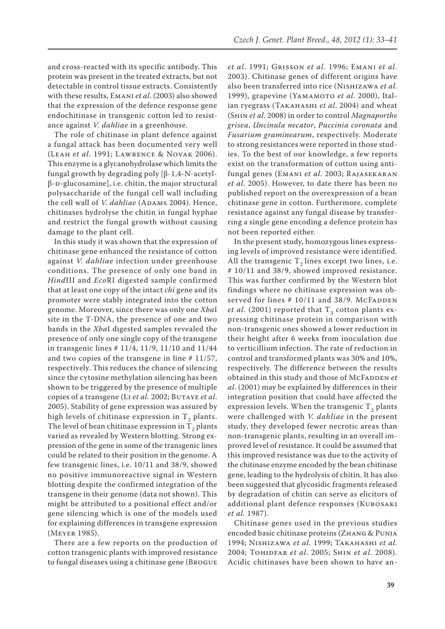and cross-reacted with its specific antibody. This protein was present in the treated extracts, but not detectable in control tissue extracts. Consistently with these results, Emani *et al*. (2003) also showed that the expression of the defence response gene endochitinase in transgenic cotton led to resistance against *V. dahliae* in a greenhouse.

The role of chitinase in plant defence against a fungal attack has been documented very well (Leah *et al*. 1991; Lawrence & Novak 2006). This enzyme is a glycanohydrolase which limits the fungal growth by degrading poly [β-1,4-N-acetylβ-D-glucosamine], i.e. chitin, the major structural polysaccharide of the fungal cell wall including the cell wall of *V. dahliae* (ADAMS 2004). Hence, chitinases hydrolyse the chitin in fungal hyphae and restrict the fungal growth without causing damage to the plant cell.

In this study it was shown that the expression of chitinase gene enhanced the resistance of cotton against *V. dahliae* infection under greenhouse conditions. The presence of only one band in *Hind*III and *Eco*RI digested sample confirmed that at least one copy of the intact *chi* gene and its promoter were stably integrated into the cotton genome. Moreover, since there was only one *Xba*I site in the T-DNA, the presence of one and two bands in the *Xba*I digested samples revealed the presence of only one single copy of the transgene in transgenic lines # 11/4, 11/9, 11/10 and 11/44 and two copies of the transgene in line # 11/57, respectively. This reduces the chance of silencing since the cytosine methylation silencing has been shown to be triggered by the presence of multiple copies of a transgene (L<sub>I</sub> *et al.* 2002; BUTAYE *et al.* 2005). Stability of gene expression was assured by high levels of chitinase expression in  $T_2$  plants. The level of bean chitinase expression in  $T_2$  plants varied as revealed by Western blotting. Strong expression of the gene in some of the transgenic lines could be related to their position in the genome. A few transgenic lines, i.e. 10/11 and 38/9, showed no positive immunoreactive signal in Western blotting despite the confirmed integration of the transgene in their genome (data not shown). This might be attributed to a positional effect and/or gene silencing which is one of the models used for explaining differences in transgene expression (Meyer 1985).

There are a few reports on the production of cotton transgenic plants with improved resistance to fungal diseases using a chitinase gene (Brogue

*et al*. 1991; Grisson *et al*. 1996; Emani *et al.* 2003). Chitinase genes of different origins have also been transferred into rice (Nishizawa *et al*. 1999), grapevine (Үлмлмото *et al.* 2000), Italian ryegrass (Takahashi *et al*. 2004) and wheat (Shin *et al*. 2008) in order to control *Magnaporthe grisea*, *Uncinula necator*, *Puccinia coronata* and *Fusarium graminearum*, respectively. Moderate to strong resistances were reported in those studies. To the best of our knowledge, a few reports exist on the transformation of cotton using antifungal genes (Emani *et al*. 2003; Rajasekaran *et al*. 2005). However, to date there has been no published report on the overexpression of a bean chitinase gene in cotton. Furthermore, complete resistance against any fungal disease by transferring a single gene encoding a defence protein has not been reported either.

In the present study, homozygous lines expressing levels of improved resistance were identified. All the transgenic  $T<sub>2</sub>$  lines except two lines, i.e. # 10/11 and 38/9, showed improved resistance. This was further confirmed by the Western blot findings where no chitinase expression was observed for lines  $# 10/11$  and 38/9. McFADDEN *et al.* (2001) reported that  $T<sub>3</sub>$  cotton plants expressing chitinase protein in comparison with non-transgenic ones showed a lower reduction in their height after 6 weeks from inoculation due to verticillium infection. The rate of reduction in control and transformed plants was 30% and 10%, respectively. The difference between the results obtained in this study and those of McFADDEN et *al*. (2001) may be explained by differences in their integration position that could have affected the expression levels. When the transgenic  $T<sub>2</sub>$  plants were challenged with *V. dahliae* in the present study, they developed fewer necrotic areas than non-transgenic plants, resulting in an overall improved level of resistance. It could be assumed that this improved resistance was due to the activity of the chitinase enzyme encoded by the bean chitinase gene, leading to the hydrolysis of chitin. It has also been suggested that glycosidic fragments released by degradation of chitin can serve as elicitors of additional plant defence responses (Kurosaki *et al.* 1987).

Chitinase genes used in the previous studies encoded basic chitinase proteins (Zhang & Punja 1994; Nishizawa *et al.* 1999; Takahashi *et al.* 2004; Tohidfar *et al*. 2005; Shin *et al.* 2008). Acidic chitinases have been shown to have an-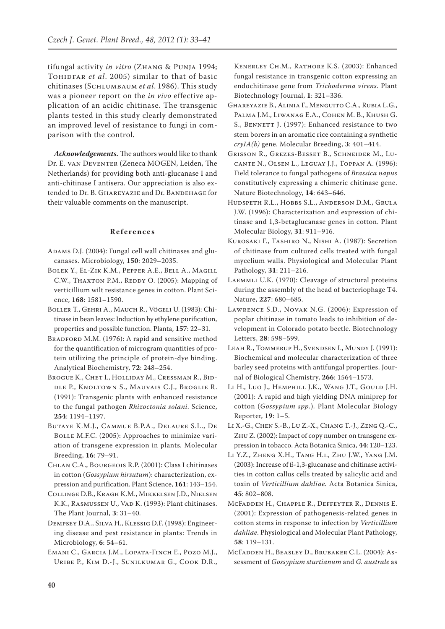tifungal activity *in vitro* (Zhang & Punja 1994; TOHIDFAR *et al.* 2005) similar to that of basic chitinases (Schlumbaum *et al*. 1986). This study was a pioneer report on the *in vivo* effective application of an acidic chitinase. The transgenic plants tested in this study clearly demonstrated an improved level of resistance to fungi in comparison with the control.

*Acknowledgements.* The authors would like to thank Dr. E. van Deventer (Zeneca MOGEN, Leiden, The Netherlands) for providing both anti-glucanase I and anti-chitinase I antisera. Our appreciation is also extended to Dr. B. GHAREYAZIE and Dr. BANDEHAGE for their valuable comments on the manuscript.

# **References**

- ADAMS D.J. (2004): Fungal cell wall chitinases and glucanases. Microbiology, **150**: 2029–2035.
- Bolek Y., El-Zik K.M., Pepper A.E., Bell A., Magill C.W., Тнахтом Р.М., REDDY O. (2005): Mapping of verticillium wilt resistance genes in cotton. Plant Science, **168**: 1581–1590.
- Boller T., Gehri A., Mauch R., Vögeli U. (1983): Chitinase in bean leaves: Induction by ethylene purification, properties and possible function. Planta, **157**: 22–31.
- BRADFORD M.M. (1976): A rapid and sensitive method for the quantification of microgram quantities of protein utilizing the principle of protein-dye binding. Analytical Biochemistry, **72**: 248–254.
- Brogue K., Chet I., Holliday M., Cressman R., Biddle P., Knoltown S., Mauvais C.J., Broglie R. (1991): Transgenic plants with enhanced resistance to the fungal pathogen *Rhizoctonia solani*. Science, **254**: 1194–1197.
- Butaye K.M.J., Cammue B.P.A., Delaure S.L., De Bolle M.F.C. (2005): Approaches to minimize variation of transgene expression in plants*.* Molecular Breeding, **16**: 79–91.
- Chlan C.A., Bourgeois R.P. (2001): Class I chitinases in cotton (*Gossypium hirsutum*): characterization, expression and purification. Plant Science, **161**: 143–154.
- Collinge D.B., Kragh K.M., Mikkelsen J.D., Nielsen K.K., RASMUSSEN U., VAD K. (1993): Plant chitinases. The Plant Journal, **3**: 31–40.

Dempsey D.A., Silva H., Klessig D.F. (1998): Engineering disease and pest resistance in plants: Trends in Microbiology, **6**: 54–61.

Emani C., Garcia J.M., Lopata-Finch E., Pozo M.J., Uribe P., Kim D.-J., Sunilkumar G., Cook D.R.,

Kenerley Ch.M., Rathore K.S. (2003): Enhanced fungal resistance in transgenic cotton expressing an endochitinase gene from *Trichoderma virens.* Plant Biotechnology Journal, **1**: 321–336.

- Ghareyazie B., Alinia F., Menguito C.A., Rubia L.G., Palma J.M., Liwanag E.A., Cohen M. B., Khush G. S., BENNETT J. (1997): Enhanced resistance to two stem borers in an aromatic rice containing a synthetic *cryIA(b)* gene. Molecular Breeding, **3**: 401–414.
- Grisson R., Grezes-Besset B., Schneider M., Lucante N., Olsen L., Leguay J.J., Toppan A. (1996): Field tolerance to fungal pathogens of *Brassica napus*  constitutively expressing a chimeric chitinase gene. Nature Biotechnology, **14**: 643–646.
- Hudspeth R.L., Hobbs S.L., Anderson D.M., Grula J.W. (1996): Characterization and expression of chitinase and 1,3-betaglucanase genes in cotton. Plant Molecular Biology, **31**: 911–916.
- Kurosaki F., Tashiro N., Nishi A. (1987): Secretion of chitinase from cultured cells treated with fungal mycelium walls. Physiological and Molecular Plant Pathology, **31**: 211–216.
- Laemmli U.K. (1970): Cleavage of structural proteins during the assembly of the head of bacteriophage T4. Nature, **227**: 680–685.
- Lawrence S.D., Novak N.G. (2006): Expression of poplar chitinase in tomato leads to inhibition of development in Colorado potato beetle. Biotechnology Letters, **28**: 598–599.
- Leah R., Tommerup H., Svendsen I., Mundy J. (1991): Biochemical and molecular characterization of three barley seed proteins with antifungal properties. Journal of Biological Chemistry, **266**: 1564–1573.
- Li H., Luo J., Hemphill J.K., Wang J.T., Gould J.H. (2001): A rapid and high yielding DNA miniprep for cotton (*Gossypium spp.*)*.* Plant Molecular Biology Reporter, **19**: 1–5.
- Li X.-G., Chen S.-B., Lu Z.-X., Chang T.-J., Zeng Q.-C., Zhu Z. (2002): Impact of copy number on transgene expression in tobacco. Acta Botanica Sinica, **44**: 120–123.
- Li Y.Z., Zheng X.H., Tang H.i., Zhu J.W., Yang J.M. (2003): Increase of ß-1,3-glucanase and chitinase activities in cotton callus cells treated by salicylic acid and toxin of *Verticillium dahliae.* Acta Botanica Sinica, **45**: 802–808.
- McFadden H., Chapple R., Deffeyter R., Dennis E. (2001): Expression of pathogenesis-related genes in cotton stems in response to infection by *Verticillium dahliae*. Physiological and Molecular Plant Pathology, **58**: 119–131.
- McFadden H., Beasley D., Brubaker C.L. (2004): Assessment of *Gossypium sturtianum* and *G. australe* as